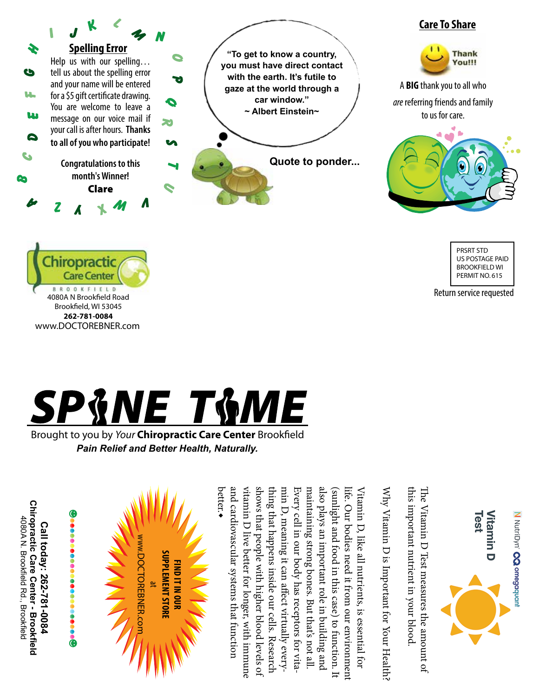





Return service requested



Brought to you by *Your* Chiropractic Care Center Brookfield *Pain Relief and Better Health, Naturally.*

**Chiropractic Care Center - Brookfield Chiropractic Care Center - Brookfield** 4080A N. Brookfield Rd., Brookfield 4080A N. Brookfield Rd., Brookfield Call today: 262-781-0084 **Call today: 262-781-0084**



ww.DOCTOREBNER.com **SUPPLEMENT STORE Supplement Store** DOCTOREBNER.com **FIND IT IN OUR Find itin our**  No.  $^{\tt e}$ 

Test N NutriDyn' CO omegaquan Vitamin D

this important nutrient in your blood this important nutrient in your blood. The Vitamin D Test measures the amount of The Vitamin D Test measures the amount of

Why Vitamin D is Important for Your Health? Why Vitamin D is Important for Your Health?

thing that happens inside our cells. Research<br>shows that people with higher blood levels of<br>vitamin D live better for longer, with immune<br>and cardiovascular systems that function<br>better.◆ maintaining strong bones. But that's not all. also plays an important role in building and min D, meaning it can affect virtually everymin D, meaning it can affect virtually every-Every cell in our body has receptors for vita Every cell in our body has receptors for vita maintaining strong bones. But that's not all. also plays an important role in building and (sunlight and food in this case) to function. It (sunlight and food in this case) to function. It life. Our bodies need it from our environment life. Our bodies need it from our environment Vitamin D, like all nutrients, is essential for Vitamin D, like all nutrients, is essential for